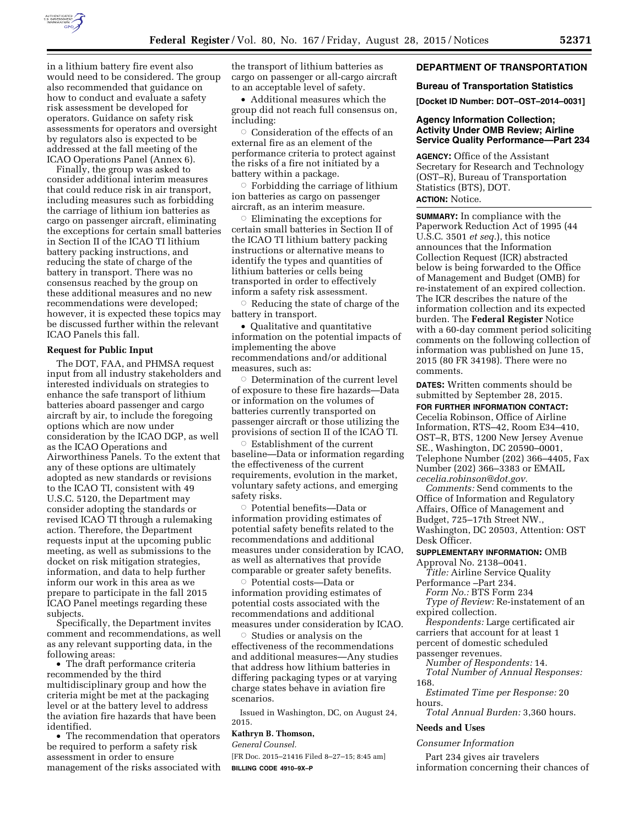

in a lithium battery fire event also would need to be considered. The group also recommended that guidance on how to conduct and evaluate a safety risk assessment be developed for operators. Guidance on safety risk assessments for operators and oversight by regulators also is expected to be addressed at the fall meeting of the ICAO Operations Panel (Annex 6).

Finally, the group was asked to consider additional interim measures that could reduce risk in air transport, including measures such as forbidding the carriage of lithium ion batteries as cargo on passenger aircraft, eliminating the exceptions for certain small batteries in Section II of the ICAO TI lithium battery packing instructions, and reducing the state of charge of the battery in transport. There was no consensus reached by the group on these additional measures and no new recommendations were developed; however, it is expected these topics may be discussed further within the relevant ICAO Panels this fall.

#### **Request for Public Input**

The DOT, FAA, and PHMSA request input from all industry stakeholders and interested individuals on strategies to enhance the safe transport of lithium batteries aboard passenger and cargo aircraft by air, to include the foregoing options which are now under consideration by the ICAO DGP, as well as the ICAO Operations and Airworthiness Panels. To the extent that any of these options are ultimately adopted as new standards or revisions to the ICAO TI, consistent with 49 U.S.C. 5120, the Department may consider adopting the standards or revised ICAO TI through a rulemaking action. Therefore, the Department requests input at the upcoming public meeting, as well as submissions to the docket on risk mitigation strategies, information, and data to help further inform our work in this area as we prepare to participate in the fall 2015 ICAO Panel meetings regarding these subjects.

Specifically, the Department invites comment and recommendations, as well as any relevant supporting data, in the following areas:

• The draft performance criteria recommended by the third multidisciplinary group and how the criteria might be met at the packaging level or at the battery level to address the aviation fire hazards that have been identified.

• The recommendation that operators be required to perform a safety risk assessment in order to ensure management of the risks associated with the transport of lithium batteries as cargo on passenger or all-cargo aircraft to an acceptable level of safety.

• Additional measures which the group did not reach full consensus on, including:

 $\circ$  Consideration of the effects of an external fire as an element of the performance criteria to protect against the risks of a fire not initiated by a battery within a package.

 $\circ$  Forbidding the carriage of lithium ion batteries as cargo on passenger aircraft, as an interim measure.

 $\circ$  Eliminating the exceptions for certain small batteries in Section II of the ICAO TI lithium battery packing instructions or alternative means to identify the types and quantities of lithium batteries or cells being transported in order to effectively inform a safety risk assessment.

Æ Reducing the state of charge of the battery in transport.

• Qualitative and quantitative information on the potential impacts of implementing the above recommendations and/or additional measures, such as:

 $\circ$  Determination of the current level of exposure to these fire hazards—Data or information on the volumes of batteries currently transported on passenger aircraft or those utilizing the provisions of section II of the ICAO TI.

 $\circ$ Establishment of the current baseline—Data or information regarding the effectiveness of the current requirements, evolution in the market, voluntary safety actions, and emerging safety risks.

 $\circ$  Potential benefits—Data or information providing estimates of potential safety benefits related to the recommendations and additional measures under consideration by ICAO, as well as alternatives that provide comparable or greater safety benefits.

Æ Potential costs—Data or information providing estimates of potential costs associated with the recommendations and additional measures under consideration by ICAO.

 $\circ$  Studies or analysis on the effectiveness of the recommendations and additional measures—Any studies that address how lithium batteries in differing packaging types or at varying charge states behave in aviation fire scenarios.

Issued in Washington, DC, on August 24, 2015.

# **Kathryn B. Thomson,**

*General Counsel.* 

[FR Doc. 2015–21416 Filed 8–27–15; 8:45 am] **BILLING CODE 4910–9X–P** 

# **DEPARTMENT OF TRANSPORTATION**

#### **Bureau of Transportation Statistics**

**[Docket ID Number: DOT–OST–2014–0031]** 

# **Agency Information Collection; Activity Under OMB Review; Airline Service Quality Performance—Part 234**

**AGENCY:** Office of the Assistant Secretary for Research and Technology (OST–R), Bureau of Transportation Statistics (BTS), DOT. **ACTION:** Notice.

**SUMMARY:** In compliance with the Paperwork Reduction Act of 1995 (44 U.S.C. 3501 *et seq.*), this notice announces that the Information Collection Request (ICR) abstracted below is being forwarded to the Office of Management and Budget (OMB) for re-instatement of an expired collection. The ICR describes the nature of the information collection and its expected burden. The **Federal Register** Notice with a 60-day comment period soliciting comments on the following collection of information was published on June 15, 2015 (80 FR 34198). There were no comments.

**DATES:** Written comments should be submitted by September 28, 2015.

**FOR FURTHER INFORMATION CONTACT:** 

Cecelia Robinson, Office of Airline Information, RTS–42, Room E34–410, OST–R, BTS, 1200 New Jersey Avenue SE., Washington, DC 20590–0001, Telephone Number (202) 366–4405, Fax Number (202) 366–3383 or EMAIL *[cecelia.robinson@dot.gov.](mailto:cecelia.robinson@dot.gov)* 

*Comments:* Send comments to the Office of Information and Regulatory Affairs, Office of Management and Budget, 725–17th Street NW., Washington, DC 20503, Attention: OST Desk Officer.

**SUPPLEMENTARY INFORMATION:** OMB

Approval No. 2138–0041. *Title:* Airline Service Quality Performance –Part 234.

*Form No.:* BTS Form 234

*Type of Review:* Re-instatement of an expired collection.

*Respondents:* Large certificated air carriers that account for at least 1 percent of domestic scheduled passenger revenues.

*Number of Respondents:* 14.

*Total Number of Annual Responses:*  168.

*Estimated Time per Response:* 20 hours.

*Total Annual Burden:* 3,360 hours.

# **Needs and Uses**

*Consumer Information* 

Part 234 gives air travelers information concerning their chances of